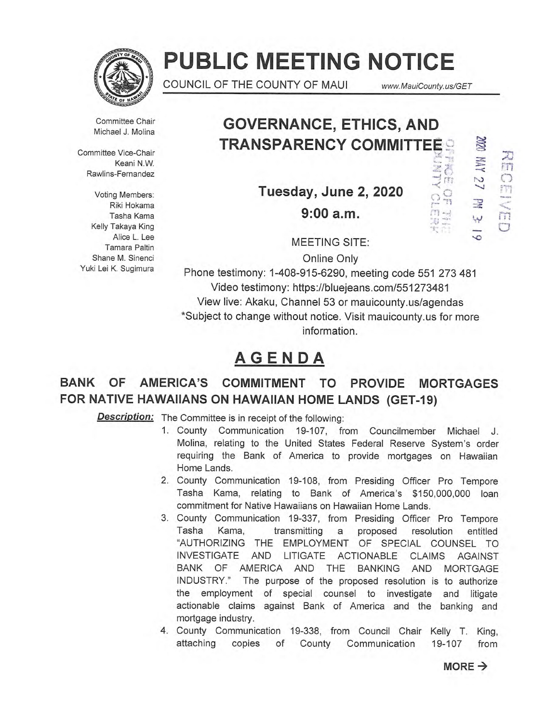

# **PUBLIC MEETING NOTICE**

COUNCIL OF THE COUNTY OF MAUI www.MauiCounty.us/GET

مدعة<br>الأول 

 $\frac{1}{2}$  $\Omega_{\rm R}$ 图卷

Committee Chair Michael J. Molina

Committee Vice-Chair Keani N.W. Rawlins-Fernandez

Voting Members: Riki Hokama Tasha Kama Kelly Takaya King Alice L. Lee Tamara Paltin Shane M. Sinenci Yuki Lei K. Sugimura

## **GOVERNANCE, ETHICS, AND TRANSPARENCY COMMITTEE**

**Tuesday, June 2, 2020 9:00 a.m.** 

**NNO** 马而 OENED

MEETING SITE:

Online Only

Phone testimony: 1-408-915-6290, meeting code 551 273 481 Video testimony: https://bluejeans.com/551273481 View live: Akaku, Channel 53 or mauicounty.us/agendas \*Subject to change without notice. Visit mauicounty.us for more information.

## **AGENDA**

## **BANK OF AMERICA'S COMMITMENT TO PROVIDE MORTGAGES FOR NATIVE HAWAIIANS ON HAWAIIAN HOME LANDS (GET-19)**

**Description:** The Committee is in receipt of the following:

- 1. County Communication 19-107, from Councilmember Michael J. Molina, relating to the United States Federal Reserve System's order requiring the Bank of America to provide mortgages on Hawaiian Home Lands.
- 2. County Communication 19-108, from Presiding Officer Pro Tempore Tasha Kama, relating to Bank of America's \$150,000,000 loan commitment for Native Hawaiians on Hawaiian Home Lands.
- 3. County Communication 19-337, from Presiding Officer Pro Tempore Tasha Kama, transmitting a proposed resolution entitled "AUTHORIZING THE EMPLOYMENT OF SPECIAL COUNSEL TO INVESTIGATE AND LITIGATE ACTIONABLE CLAIMS AGAINST BANK OF AMERICA AND THE BANKING AND MORTGAGE INDUSTRY." The purpose of the proposed resolution is to authorize the employment of special counsel to investigate and litigate actionable claims against Bank of America and the banking and mortgage industry.
- 4. County Communication 19-338, from Council Chair Kelly T. King, attaching copies of County Communication 19-107 from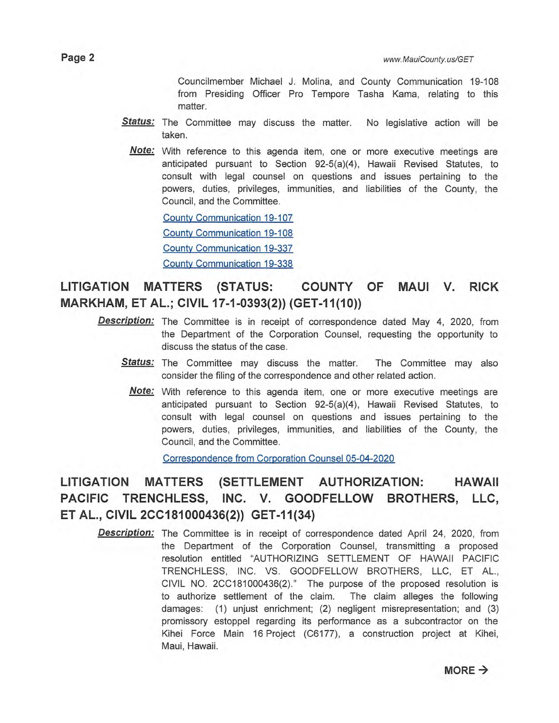Councilmember Michael J. Molina, and County Communication 19-108 from Presiding Officer Pro Tempore Tasha Kama, relating to this matter.

- Status: The Committee may discuss the matter. No legislative action will be taken.
	- **Note:** With reference to this agenda item, one or more executive meetings are anticipated pursuant to Section 92-5(a)(4), Hawaii Revised Statutes, to consult with legal counsel on questions and issues pertaining to the powers, duties, privileges, immunities, and liabilities of the County, the Council, and the Committee.

County Communication 19-107

County Communication 19-108

County Communication 19-337

County Communication 19-338

### **LITIGATION MATTERS (STATUS: COUNTY OF MAUI V. RICK MARKHAM, ET AL.; CIVIL 17-1-0393(2)) (GET-11(10))**

- **Description:** The Committee is in receipt of correspondence dated May 4, 2020, from the Department of the Corporation Counsel, requesting the opportunity to discuss the status of the case.
	- **Status:** The Committee may discuss the matter. The Committee may also consider the filing of the correspondence and other related action.
		- **Note:** With reference to this agenda item, one or more executive meetings are anticipated pursuant to Section 92-5(a)(4), Hawaii Revised Statutes, to consult with legal counsel on questions and issues pertaining to the powers, duties, privileges, immunities, and liabilities of the County, the Council, and the Committee.

Correspondence from Corporation Counsel 05-04-2020

### **LITIGATION MATTERS (SETTLEMENT AUTHORIZATION: HAWAII PACIFIC TRENCHLESS, INC. V. GOODFELLOW BROTHERS, LLC, ET AL., CIVIL 2CC181000436(2)) GET-11(34)**

**Description:** The Committee is in receipt of correspondence dated April 24, 2020, from the Department of the Corporation Counsel, transmitting a proposed resolution entitled "AUTHORIZING SETTLEMENT OF HAWAII PACIFIC TRENCHLESS, INC. VS. GOODFELLOW BROTHERS, LLC, ET AL., CIVIL NO. 2CC181000436(2)." The purpose of the proposed resolution is to authorize settlement of the claim. The claim alleges the following damages: (1) unjust enrichment; (2) negligent misrepresentation; and (3) promissory estoppel regarding its performance as a subcontractor on the Kihei Force Main 16 Project (C6177), a construction project at Kihei, Maui, Hawaii.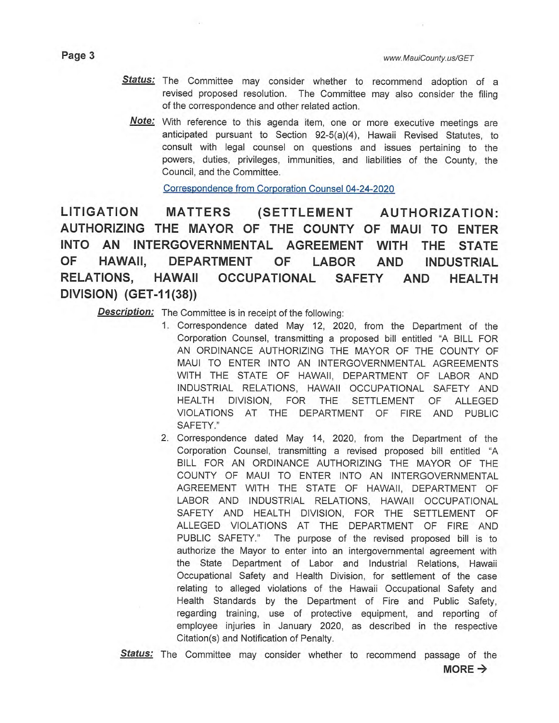- Status: The Committee may consider whether to recommend adoption of a revised proposed resolution. The Committee may also consider the filing of the correspondence and other related action.
	- **Note:**  With reference to this agenda item, one or more executive meetings are anticipated pursuant to Section 92-5(a)(4), Hawaii Revised Statutes, to consult with legal counsel on questions and issues pertaining to the powers, duties, privileges, immunities, and liabilities of the County, the Council, and the Committee.

Correspondence from Corporation Counsel 04-24-2020

**LITIGATION MATTERS (SETTLEMENT AUTHORIZATION: AUTHORIZING THE MAYOR OF THE COUNTY OF MAUI TO ENTER INTO AN INTERGOVERNMENTAL AGREEMENT WITH THE STATE OF HAWAII, DEPARTMENT OF LABOR AND INDUSTRIAL RELATIONS, HAWAII OCCUPATIONAL SAFETY AND HEALTH DIVISION) (GET-11(38))** 

**Description:** The Committee is in receipt of the following:

- 1. Correspondence dated May 12, 2020, from the Department of the Corporation Counsel, transmitting a proposed bill entitled "A BILL FOR AN ORDINANCE AUTHORIZING THE MAYOR OF THE COUNTY OF MAUI TO ENTER INTO AN INTERGOVERNMENTAL AGREEMENTS WITH THE STATE OF HAWAII, DEPARTMENT OF LABOR AND INDUSTRIAL RELATIONS, HAWAII OCCUPATIONAL SAFETY AND HEALTH DIVISION, FOR THE SETTLEMENT OF ALLEGED VIOLATIONS AT THE DEPARTMENT OF FIRE AND PUBLIC SAFETY."
- 2. Correspondence dated May 14, 2020, from the Department of the Corporation Counsel, transmitting a revised proposed bill entitled "A BILL FOR AN ORDINANCE AUTHORIZING THE MAYOR OF THE COUNTY OF MAUI TO ENTER INTO AN INTERGOVERNMENTAL AGREEMENT WITH THE STATE OF HAWAII, DEPARTMENT OF LABOR AND INDUSTRIAL RELATIONS, HAWAII OCCUPATIONAL SAFETY AND HEALTH DIVISION, FOR THE SETTLEMENT OF ALLEGED VIOLATIONS AT THE DEPARTMENT OF FIRE AND PUBLIC SAFETY." The purpose of the revised proposed bill is to authorize the Mayor to enter into an intergovernmental agreement with the State Department of Labor and Industrial Relations, Hawaii Occupational Safety and Health Division, for settlement of the case relating to alleged violations of the Hawaii Occupational Safety and Health Standards by the Department of Fire and Public Safety, regarding training, use of protective equipment, and reporting of employee injuries in January 2020, as described in the respective Citation(s) and Notification of Penalty.

**Status:** The Committee may consider whether to recommend passage of the  $MORE \rightarrow$